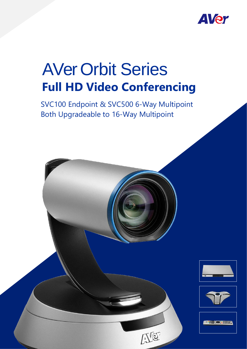

# AVer Orbit Series **Full HD Video Conferencing**

SVC100 Endpoint & SVC500 6-Way Multipoint Both Upgradeable to 16-Way Multipoint







**WE**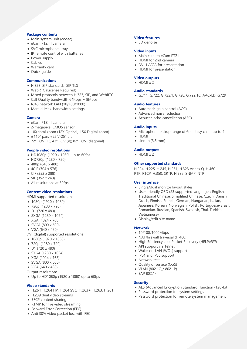# **Package contents**

- Main system unit (codec)
- eCam PTZ III camera
- SVC microphone array
- IR remote control with batteries
- Power supply
- Cables
- Warranty card
- Quick guide

# **Communications**

- H.323, SIP standards, SIP TLS
- WebRTC (License Required)
- Mixed protocols between H.323, SIP, and WebRTC
- Call Quality bandwidth 64Kbps ~ 8Mbps
- RJ45 network LAN (10/100/1000)
- Manual Max. bandwidth settings

#### **Camera**

- eCam PTZ III camera
- 2-megapixel CMOS sensor
- 18X total zoom (12X Optical, 1.5X Digital zoom)
- $\bullet$  ±110° pan; +25°/-25° tilt
- 72° FOV (H); 43° FOV (V); 82° FOV (diagonal)

# **People video resolutions**

- HD1080p (1920 x 1080), up to 60fps
- HD720p (1280 x 720)
- 480p (848 x 480)
- 4CIF (704 x 576)
- CIF (352 x 288)
- SIF (352 x 240)
- All resolutions at 30fps

## **Content video resolutions**

HDMI supported resolutions

- 1080p (1920 x 1080)
- 720p (1280 x 720)
- D1 (720 x 480)
- SXGA (1280 x 1024)
- XGA (1024 x 768)
- SVGA (800 x 600)
- VGA (640 x 480)
- DVI (digital) supported resolutions
- 1080p (1920 x 1080)
- 720p (1280 x 720)
- D1 (720 x 480)
- SXGA (1280 x 1024)
- XGA (1024 x 768)
- SVGA (800 x 600)
- VGA (640 x 480)
- Output resolutions
- Up to HD1080p (1920 x 1080) up to 60fps

#### **Video standards**

- H.264, H.264 HP, H.264 SVC, H.263+, H.263, H.261
- H.239 dual video streams
- BFCP content sharing
- RTMP for live video streaming
- Forward Error Correction (FEC)
- Anti 30% video packet loss with FEC

#### **Video features**

• 3D denoise

# **Video inputs**

- Main camera eCam PTZ III
- HDMI for 2nd camera
- DVI-I /VGA for presentation
- HDMI for presentation

## **Video outputs**

 $\bullet$  HDMI  $\times$  2

#### **Audio standards**

G.711, G.722, G.722.1, G.728, G.722.1C, AAC-LD, G729

# **Audio features**

- Automatic gain control (AGC)
- Advanced noise reduction
- Acoustic echo cancellation (AEC)

#### **Audio inputs**

- Microphone pickup range of 6m, daisy chain up to 4
- HDMI
- $\bullet$  Line-in (3.5 mm)

# **Audio outputs**

• HDMI x 2

#### **Other supported standards**

H.224, H.225, H.245, H.281, H.323 Annex Q, H.460 RTP, RTCP, H.350, SRTP, H.235, SNMP, NTP

#### **User interface**

- Single/dual monitor layout styles
- User-friendly OSD (23 supported languages: English, Traditional Chinese, Simplified Chinese, Czech, Danish, Dutch, Finnish, French, German, Hungarian, Italian, Japanese, Korean, Norwegian, Polish, Portuguese-Brazil, Romanian, Russian, Spanish, Swedish, Thai, Turkish, Vietnamese)
- Display/edit site name

#### **Network**

- 10/100/1000Mbps
- NAT/firewall traversal (H.460)
- High Efficiency Lost Packet Recovery (HELPeR™)
- API support via Telnet
- Wake-on-LAN (WOL) support
- IPv4 and IPv6 support
- Network test
- Quality of service (QoS)
- VLAN (802.1Q / 802.1P)
- EAP 802.1x

# **Security**

- AES (Advanced Encryption Standard) function (128-bit)
- Password protection for system settings
- Password protection for remote system management